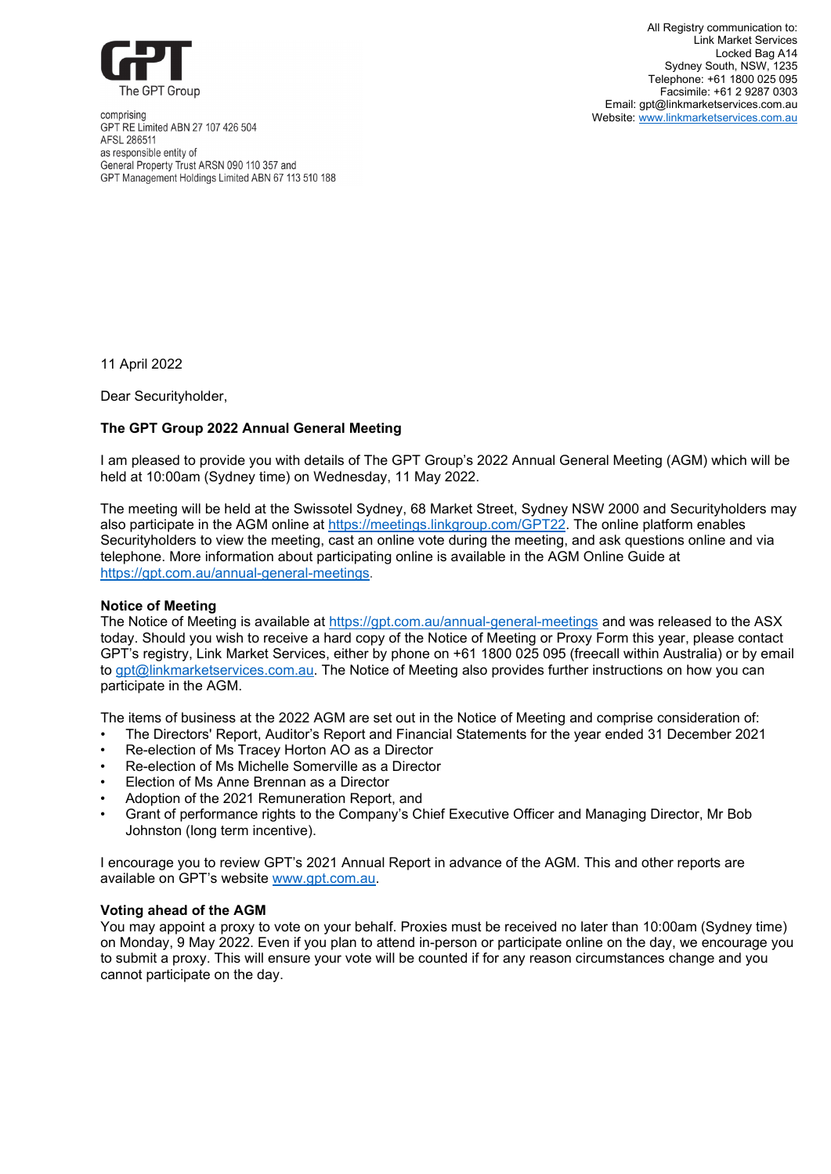

comprising GPT RE Limited ABN 27 107 426 504 AFSL 286511 as responsible entity of General Property Trust ARSN 090 110 357 and GPT Management Holdings Limited ABN 67 113 510 188

All Registry communication to: Link Market Services Locked Bag A14 Sydney South, NSW, 1235 Telephone: [+61 1800 025 095](tel:+61%201800%20025%20095) Facsimile: +61 2 9287 0303 Email: [gpt@linkmarketservices.com.au](https://thegptgroup-my.sharepoint.com/personal/penny_berger_gpt_com_au/Documents/Desktop/gpt@linkmarketservices.com.au) Website: [www.linkmarketservices.com.au](http://www.linkmarketservices.com.au/)

11 April 2022

Dear Securityholder,

# **The GPT Group 2022 Annual General Meeting**

I am pleased to provide you with details of The GPT Group's 2022 Annual General Meeting (AGM) which will be held at 10:00am (Sydney time) on Wednesday, 11 May 2022.

The meeting will be held at the Swissotel Sydney, 68 Market Street, Sydney NSW 2000 and Securityholders may also participate in the AGM online at [https://meetings.linkgroup.com/GPT22.](https://meetings.linkgroup.com/GPT22) The online platform enables Securityholders to view the meeting, cast an online vote during the meeting, and ask questions online and via telephone. More information about participating online is available in the AGM Online Guide at <https://gpt.com.au/annual-general-meetings>.

## **Notice of Meeting**

The Notice of Meeting is available at <https://gpt.com.au/annual-general-meetings> and was released to the ASX today. Should you wish to receive a hard copy of the Notice of Meeting or Proxy Form this year, please contact GPT's registry, Link Market Services, either by phone on +61 1800 025 095 (freecall within Australia) or by email to [gpt@linkmarketservices.com.au.](mailto:gpt@linkmarketservices.com.au) The Notice of Meeting also provides further instructions on how you can participate in the AGM.

The items of business at the 2022 AGM are set out in the Notice of Meeting and comprise consideration of:

- The Directors' Report, Auditor's Report and Financial Statements for the year ended 31 December 2021
- Re-election of Ms Tracey Horton AO as a Director
- Re-election of Ms Michelle Somerville as a Director
- Election of Ms Anne Brennan as a Director
- Adoption of the 2021 Remuneration Report, and
- Grant of performance rights to the Company's Chief Executive Officer and Managing Director, Mr Bob Johnston (long term incentive).

I encourage you to review GPT's 2021 Annual Report in advance of the AGM. This and other reports are available on GPT's website [www.gpt.com.au.](http://www.gpt.com.au/)

# **Voting ahead of the AGM**

You may appoint a proxy to vote on your behalf. Proxies must be received no later than 10:00am (Sydney time) on Monday, 9 May 2022. Even if you plan to attend in-person or participate online on the day, we encourage you to submit a proxy. This will ensure your vote will be counted if for any reason circumstances change and you cannot participate on the day.